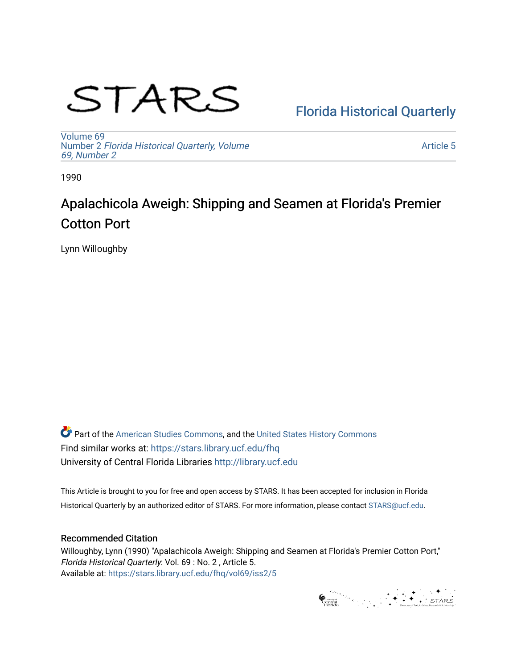# STARS

## [Florida Historical Quarterly](https://stars.library.ucf.edu/fhq)

[Volume 69](https://stars.library.ucf.edu/fhq/vol69) Number 2 [Florida Historical Quarterly, Volume](https://stars.library.ucf.edu/fhq/vol69/iss2)  [69, Number 2](https://stars.library.ucf.edu/fhq/vol69/iss2)

[Article 5](https://stars.library.ucf.edu/fhq/vol69/iss2/5) 

1990

## Apalachicola Aweigh: Shipping and Seamen at Florida's Premier Cotton Port

Lynn Willoughby

**C** Part of the [American Studies Commons](http://network.bepress.com/hgg/discipline/439?utm_source=stars.library.ucf.edu%2Ffhq%2Fvol69%2Fiss2%2F5&utm_medium=PDF&utm_campaign=PDFCoverPages), and the United States History Commons Find similar works at: <https://stars.library.ucf.edu/fhq> University of Central Florida Libraries [http://library.ucf.edu](http://library.ucf.edu/) 

This Article is brought to you for free and open access by STARS. It has been accepted for inclusion in Florida Historical Quarterly by an authorized editor of STARS. For more information, please contact [STARS@ucf.edu.](mailto:STARS@ucf.edu)

### Recommended Citation

Willoughby, Lynn (1990) "Apalachicola Aweigh: Shipping and Seamen at Florida's Premier Cotton Port," Florida Historical Quarterly: Vol. 69 : No. 2 , Article 5. Available at: [https://stars.library.ucf.edu/fhq/vol69/iss2/5](https://stars.library.ucf.edu/fhq/vol69/iss2/5?utm_source=stars.library.ucf.edu%2Ffhq%2Fvol69%2Fiss2%2F5&utm_medium=PDF&utm_campaign=PDFCoverPages) 

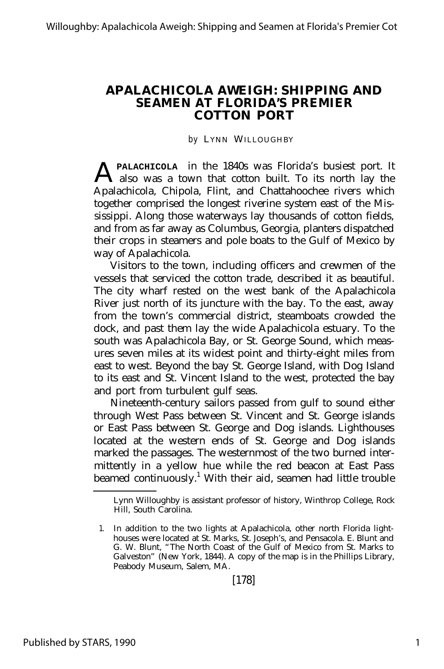### **APALACHICOLA AWEIGH: SHIPPING AND SEAMEN AT FLORIDA'S PREMIER COTTON PORT**

*by* LYNN WILLOUGHBY

A **PALACHICOLA** in the 1840s was Florida's busiest port. It also was a town that cotton built. To its north lay the Apalachicola, Chipola, Flint, and Chattahoochee rivers which together comprised the longest riverine system east of the Mississippi. Along those waterways lay thousands of cotton fields, and from as far away as Columbus, Georgia, planters dispatched their crops in steamers and pole boats to the Gulf of Mexico by way of Apalachicola.

Visitors to the town, including officers and crewmen of the vessels that serviced the cotton trade, described it as beautiful. The city wharf rested on the west bank of the Apalachicola River just north of its juncture with the bay. To the east, away from the town's commercial district, steamboats crowded the dock, and past them lay the wide Apalachicola estuary. To the south was Apalachicola Bay, or St. George Sound, which measures seven miles at its widest point and thirty-eight miles from east to west. Beyond the bay St. George Island, with Dog Island to its east and St. Vincent Island to the west, protected the bay and port from turbulent gulf seas.

Nineteenth-century sailors passed from gulf to sound either through West Pass between St. Vincent and St. George islands or East Pass between St. George and Dog islands. Lighthouses located at the western ends of St. George and Dog islands marked the passages. The westernmost of the two burned intermittently in a yellow hue while the red beacon at East Pass beamed continuously.<sup>1</sup> With their aid, seamen had little trouble

Lynn Willoughby is assistant professor of history, Winthrop College, Rock Hill, South Carolina.

<sup>1.</sup> In addition to the two lights at Apalachicola, other north Florida lighthouses were located at St. Marks, St. Joseph's, and Pensacola. E. Blunt and G. W. Blunt, "The North Coast of the Gulf of Mexico from St. Marks to Galveston" (New York, 1844). A copy of the map is in the Phillips Library, Peabody Museum, Salem, MA.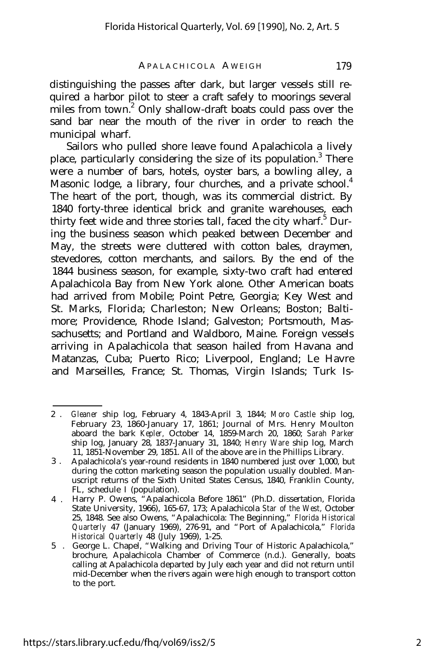distinguishing the passes after dark, but larger vessels still required a harbor pilot to steer a craft safely to moorings several miles from town.<sup>2</sup> Only shallow-draft boats could pass over the sand bar near the mouth of the river in order to reach the municipal wharf.

Sailors who pulled shore leave found Apalachicola a lively place, particularly considering the size of its population.<sup>3</sup> There were a number of bars, hotels, oyster bars, a bowling alley, a Masonic lodge, a library, four churches, and a private school.<sup>4</sup> The heart of the port, though, was its commercial district. By 1840 forty-three identical brick and granite warehouses, each thirty feet wide and three stories tall, faced the city wharf.<sup>5</sup> During the business season which peaked between December and May, the streets were cluttered with cotton bales, draymen, stevedores, cotton merchants, and sailors. By the end of the 1844 business season, for example, sixty-two craft had entered Apalachicola Bay from New York alone. Other American boats had arrived from Mobile; Point Petre, Georgia; Key West and St. Marks, Florida; Charleston; New Orleans; Boston; Baltimore; Providence, Rhode Island; Galveston; Portsmouth, Massachusetts; and Portland and Waldboro, Maine. Foreign vessels arriving in Apalachicola that season hailed from Havana and Matanzas, Cuba; Puerto Rico; Liverpool, England; Le Havre and Marseilles, France; St. Thomas, Virgin Islands; Turk Is-

<sup>2</sup> . *Gleaner* ship log, February 4, 1843-April 3, 1844; *Moro Castle* ship log, February 23, 1860-January 17, 1861; Journal of Mrs. Henry Moulton aboard the bark *Kepler,* October 14, 1859-March 20, 1860; *Sarah Parker* ship log, January 28, 1837-January 31, 1840; *Henry Ware* ship log, March 11, 1851-November 29, 1851. All of the above are in the Phillips Library.

<sup>3</sup> . Apalachicola's year-round residents in 1840 numbered just over 1,000, but during the cotton marketing season the population usually doubled. Manuscript returns of the Sixth United States Census, 1840, Franklin County, FL, schedule I (population).

<sup>4</sup> . Harry P. Owens, "Apalachicola Before 1861" (Ph.D. dissertation, Florida State University, 1966), 165-67, 173; Apalachicola *Star of the West,* October 25, 1848. See also Owens, "Apalachicola: The Beginning," *Florida Historical Quarterly* 47 (January 1969), 276-91, and "Port of Apalachicola," *Florida Historical Quarterly* 48 (July 1969), 1-25.

<sup>5</sup> . George L. Chapel, "Walking and Driving Tour of Historic Apalachicola," brochure, Apalachicola Chamber of Commerce (n.d.). Generally, boats calling at Apalachicola departed by July each year and did not return until mid-December when the rivers again were high enough to transport cotton to the port.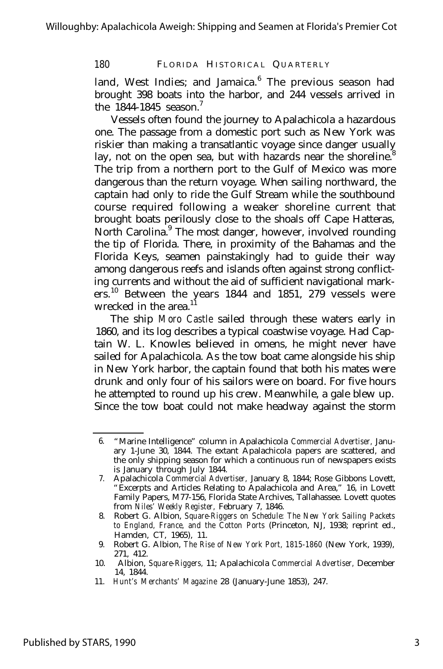land, West Indies; and Jamaica.<sup>6</sup> The previous season had brought 398 boats into the harbor, and 244 vessels arrived in the  $1844-1845$  season.<sup>7</sup>

Vessels often found the journey to Apalachicola a hazardous one. The passage from a domestic port such as New York was riskier than making a transatlantic voyage since danger usually lay, not on the open sea, but with hazards near the shoreline.<sup>8</sup> The trip from a northern port to the Gulf of Mexico was more dangerous than the return voyage. When sailing northward, the captain had only to ride the Gulf Stream while the southbound course required following a weaker shoreline current that brought boats perilously close to the shoals off Cape Hatteras, North Carolina.<sup>9</sup> The most danger, however, involved rounding the tip of Florida. There, in proximity of the Bahamas and the Florida Keys, seamen painstakingly had to guide their way among dangerous reefs and islands often against strong conflicting currents and without the aid of sufficient navigational markers.<sup>10</sup> Between the years 1844 and 1851, 279 vessels were wrecked in the area<sup>11</sup>

The ship *Moro Castle* sailed through these waters early in 1860, and its log describes a typical coastwise voyage. Had Captain W. L. Knowles believed in omens, he might never have sailed for Apalachicola. As the tow boat came alongside his ship in New York harbor, the captain found that both his mates were drunk and only four of his sailors were on board. For five hours he attempted to round up his crew. Meanwhile, a gale blew up. Since the tow boat could not make headway against the storm

11. *Hunt's Merchants' Magazine* 28 (January-June 1853), 247.

<sup>6.</sup> "Marine Intelligence" column in Apalachicola *Commercial Advertiser,* January 1-June 30, 1844. The extant Apalachicola papers are scattered, and the only shipping season for which a continuous run of newspapers exists is January through July 1844.

<sup>7.</sup> Apalachicola *Commercial Advertiser,* January 8, 1844; Rose Gibbons Lovett, "Excerpts and Articles Relating to Apalachicola and Area," 16, in Lovett Family Papers, M77-156, Florida State Archives, Tallahassee. Lovett quotes from *Niles' Weekly Register,* February 7, 1846.

<sup>8.</sup> Robert G. Albion, *Square-Riggers on Schedule: The New York Sailing Packets to England, France, and the Cotton Ports* (Princeton, NJ, 1938; reprint ed., Hamden, CT, 1965), 11.

<sup>9.</sup> Robert G. Albion, *The Rise of New York Port, 1815-1860* (New York, 1939), 271, 412.

<sup>10.</sup> Albion, *Square-Riggers,* 11; Apalachicola *Commercial Advertiser,* December 14, 1844.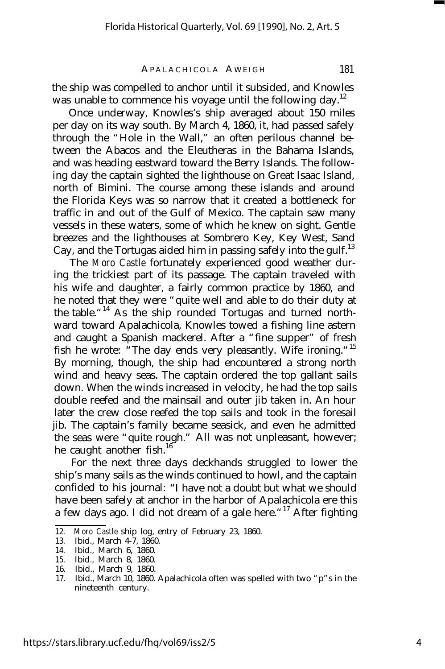the ship was compelled to anchor until it subsided, and Knowles was unable to commence his voyage until the following day.<sup>12</sup>

Once underway, Knowles's ship averaged about 150 miles per day on its way south. By March 4, 1860, it, had passed safely through the "Hole in the Wall," an often perilous channel between the Abacos and the Eleutheras in the Bahama Islands, and was heading eastward toward the Berry Islands. The following day the captain sighted the lighthouse on Great Isaac Island, north of Bimini. The course among these islands and around the Florida Keys was so narrow that it created a bottleneck for traffic in and out of the Gulf of Mexico. The captain saw many vessels in these waters, some of which he knew on sight. Gentle breezes and the lighthouses at Sombrero Key, Key West, Sand Cay, and the Tortugas aided him in passing safely into the gulf. $^{13}$ 

The *Moro Castle* fortunately experienced good weather during the trickiest part of its passage. The captain traveled with his wife and daughter, a fairly common practice by 1860, and he noted that they were "quite well and able to do their duty at the table."<sup>14</sup> As the ship rounded Tortugas and turned northward toward Apalachicola, Knowles towed a fishing line astern and caught a Spanish mackerel. After a "fine supper" of fresh fish he wrote: "The day ends very pleasantly. Wife ironing."<sup>15</sup> By morning, though, the ship had encountered a strong north wind and heavy seas. The captain ordered the top gallant sails down. When the winds increased in velocity, he had the top sails double reefed and the mainsail and outer jib taken in. An hour later the crew close reefed the top sails and took in the foresail jib. The captain's family became seasick, and even he admitted the seas were "quite rough." All was not unpleasant, however; he caught another fish. $16$ 

For the next three days deckhands struggled to lower the ship's many sails as the winds continued to howl, and the captain confided to his journal: "I have not a doubt but what we should have been safely at anchor in the harbor of Apalachicola ere this a few days ago. I did not dream of a gale here.  $17$  After fighting

<sup>12.</sup> *Moro Castle* ship log, entry of February 23, 1860.

<sup>13.</sup> Ibid., March 4-7, 1860.

<sup>14.</sup> Ibid., March 6, 1860.

<sup>15.</sup> Ibid., March 8, 1860.

<sup>16.</sup> Ibid., March 9, 1860.

<sup>17.</sup> Ibid., March 10, 1860. Apalachicola often was spelled with two "p"s in the nineteenth century.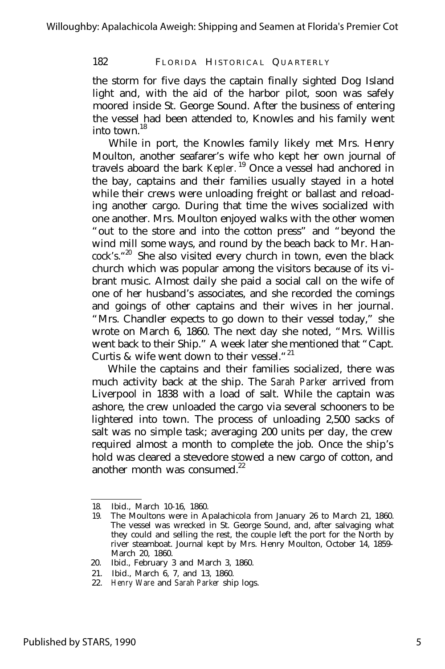the storm for five days the captain finally sighted Dog Island light and, with the aid of the harbor pilot, soon was safely moored inside St. George Sound. After the business of entering the vessel had been attended to, Knowles and his family went into town  $18$ 

While in port, the Knowles family likely met Mrs. Henry Moulton, another seafarer's wife who kept her own journal of travels aboard the bark *Kepler.* <sup>19</sup> Once a vessel had anchored in the bay, captains and their families usually stayed in a hotel while their crews were unloading freight or ballast and reloading another cargo. During that time the wives socialized with one another. Mrs. Moulton enjoyed walks with the other women "out to the store and into the cotton press" and "beyond the wind mill some ways, and round by the beach back to Mr. Hancock's."<sup>20</sup> She also visited every church in town, even the black church which was popular among the visitors because of its vibrant music. Almost daily she paid a social call on the wife of one of her husband's associates, and she recorded the comings and goings of other captains and their wives in her journal. "Mrs. Chandler expects to go down to their vessel today," she wrote on March 6, 1860. The next day she noted, "Mrs. Willis went back to their Ship." A week later she mentioned that "Capt. Curtis & wife went down to their vessel.  $421$ 

While the captains and their families socialized, there was much activity back at the ship. The *Sarah Parker* arrived from Liverpool in 1838 with a load of salt. While the captain was ashore, the crew unloaded the cargo via several schooners to be lightered into town. The process of unloading 2,500 sacks of salt was no simple task; averaging 200 units per day, the crew required almost a month to complete the job. Once the ship's hold was cleared a stevedore stowed a new cargo of cotton, and another month was consumed.<sup>22</sup>

- 20. Ibid., February 3 and March 3, 1860.
- 21. Ibid., March 6, 7, and 13, 1860.
- 22. *Henry Ware* and *Sarah Parker* ship logs.

<sup>18.</sup> Ibid., March 10-16, 1860.

<sup>19.</sup> The Moultons were in Apalachicola from January 26 to March 21, 1860. The vessel was wrecked in St. George Sound, and, after salvaging what they could and selling the rest, the couple left the port for the North by river steamboat. Journal kept by Mrs. Henry Moulton, October 14, 1859- March 20, 1860.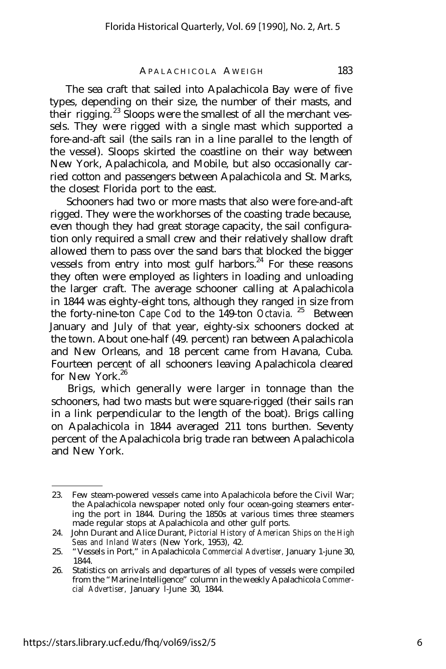The sea craft that sailed into Apalachicola Bay were of five types, depending on their size, the number of their masts, and their rigging. <sup>23</sup> Sloops were the smallest of all the merchant vessels. They were rigged with a single mast which supported a fore-and-aft sail (the sails ran in a line parallel to the length of the vessel). Sloops skirted the coastline on their way between New York, Apalachicola, and Mobile, but also occasionally carried cotton and passengers between Apalachicola and St. Marks, the closest Florida port to the east.

Schooners had two or more masts that also were fore-and-aft rigged. They were the workhorses of the coasting trade because, even though they had great storage capacity, the sail configuration only required a small crew and their relatively shallow draft allowed them to pass over the sand bars that blocked the bigger vessels from entry into most gulf harbors.<sup>24</sup> For these reasons they often were employed as lighters in loading and unloading the larger craft. The average schooner calling at Apalachicola in 1844 was eighty-eight tons, although they ranged in size from the forty-nine-ton *Cape Cod* to the 149-ton *Octavia.* <sup>25</sup> Between January and July of that year, eighty-six schooners docked at the town. About one-half (49. percent) ran between Apalachicola and New Orleans, and 18 percent came from Havana, Cuba. Fourteen percent of all schooners leaving Apalachicola cleared for New York.<sup>26</sup>

Brigs, which generally were larger in tonnage than the schooners, had two masts but were square-rigged (their sails ran in a link perpendicular to the length of the boat). Brigs calling on Apalachicola in 1844 averaged 211 tons burthen. Seventy percent of the Apalachicola brig trade ran between Apalachicola and New York.

<sup>23.</sup> Few steam-powered vessels came into Apalachicola before the Civil War; the Apalachicola newspaper noted only four ocean-going steamers entering the port in 1844. During the 1850s at various times three steamers made regular stops at Apalachicola and other gulf ports.

<sup>24.</sup> John Durant and Alice Durant, *Pictorial History of American Ships on the High Seas and Inland Waters* (New York, 1953), 42.

<sup>25.</sup> "Vessels in Port," in Apalachicola *Commercial Advertiser,* January 1-june 30, 1844.

<sup>26.</sup> Statistics on arrivals and departures of all types of vessels were compiled from the "Marine Intelligence" column in the weekly Apalachicola *Commercial Advertiser,* January l-June 30, 1844.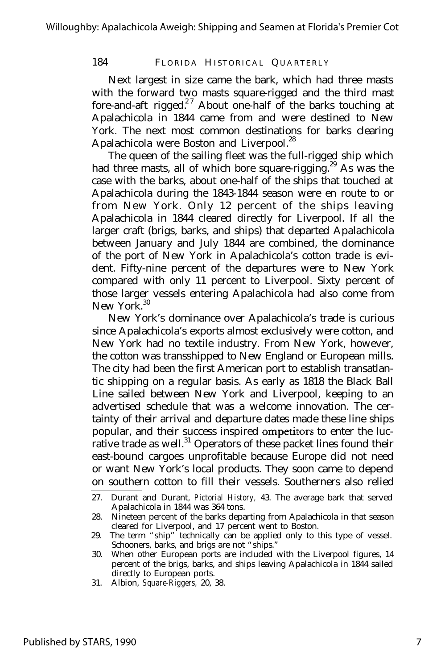Next largest in size came the bark, which had three masts with the forward two masts square-rigged and the third mast fore-and-aft rigged.<sup>27</sup> About one-half of the barks touching at Apalachicola in 1844 came from and were destined to New York. The next most common destinations for barks clearing Apalachicola were Boston and Liverpool.<sup>28</sup>

The queen of the sailing fleet was the full-rigged ship which had three masts, all of which bore square-rigging.<sup>29</sup> As was the case with the barks, about one-half of the ships that touched at Apalachicola during the 1843-1844 season were en route to or from New York. Only 12 percent of the ships leaving Apalachicola in 1844 cleared directly for Liverpool. If all the larger craft (brigs, barks, and ships) that departed Apalachicola between January and July 1844 are combined, the dominance of the port of New York in Apalachicola's cotton trade is evident. Fifty-nine percent of the departures were to New York compared with only 11 percent to Liverpool. Sixty percent of those larger vessels entering Apalachicola had also come from New York.<sup>30</sup>

New York's dominance over Apalachicola's trade is curious since Apalachicola's exports almost exclusively were cotton, and New York had no textile industry. From New York, however, the cotton was transshipped to New England or European mills. The city had been the first American port to establish transatlantic shipping on a regular basis. As early as 1818 the Black Ball Line sailed between New York and Liverpool, keeping to an advertised schedule that was a welcome innovation. The certainty of their arrival and departure dates made these line ships popular, and their success inspired ompetitors to enter the lucrative trade as well.<sup>31</sup> Operators of these packet lines found their east-bound cargoes unprofitable because Europe did not need or want New York's local products. They soon came to depend on southern cotton to fill their vessels. Southerners also relied

<sup>27.</sup> Durant and Durant, *Pictorial History,* 43. The average bark that served Apalachicola in 1844 was 364 tons.

<sup>28.</sup> Nineteen percent of the barks departing from Apalachicola in that season cleared for Liverpool, and 17 percent went to Boston.

<sup>29.</sup> The term "ship" technically can be applied only to this type of vessel. Schooners, barks, and brigs are not "ships."

<sup>30.</sup> When other European ports are included with the Liverpool figures, 14 percent of the brigs, barks, and ships leaving Apalachicola in 1844 sailed directly to European ports.

<sup>31.</sup> Albion, *Square-Riggers,* 20, 38.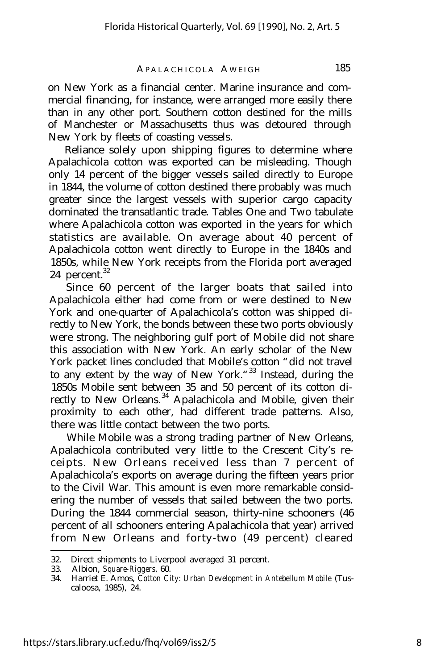on New York as a financial center. Marine insurance and commercial financing, for instance, were arranged more easily there than in any other port. Southern cotton destined for the mills of Manchester or Massachusetts thus was detoured through New York by fleets of coasting vessels.

Reliance solely upon shipping figures to determine where Apalachicola cotton was exported can be misleading. Though only 14 percent of the bigger vessels sailed directly to Europe in 1844, the volume of cotton destined there probably was much greater since the largest vessels with superior cargo capacity dominated the transatlantic trade. Tables One and Two tabulate where Apalachicola cotton was exported in the years for which statistics are available. On average about 40 percent of Apalachicola cotton went directly to Europe in the 1840s and 1850s, while New York receipts from the Florida port averaged 24 percent. $32$ 

Since 60 percent of the larger boats that sailed into Apalachicola either had come from or were destined to New York and one-quarter of Apalachicola's cotton was shipped directly to New York, the bonds between these two ports obviously were strong. The neighboring gulf port of Mobile did not share this association with New York. An early scholar of the New York packet lines concluded that Mobile's cotton "did not travel to any extent by the way of New York.<sup>433</sup> Instead, during the 1850s Mobile sent between 35 and 50 percent of its cotton directly to New Orleans.<sup>34</sup> Apalachicola and Mobile, given their proximity to each other, had different trade patterns. Also, there was little contact between the two ports.

While Mobile was a strong trading partner of New Orleans, Apalachicola contributed very little to the Crescent City's receipts. New Orleans received less than 7 percent of Apalachicola's exports on average during the fifteen years prior to the Civil War. This amount is even more remarkable considering the number of vessels that sailed between the two ports. During the 1844 commercial season, thirty-nine schooners (46 percent of all schooners entering Apalachicola that year) arrived from New Orleans and forty-two (49 percent) cleared

<sup>32.</sup> Direct shipments to Liverpool averaged 31 percent.

<sup>33.</sup> Albion, *Square-Riggers,* 60.

<sup>34.</sup> Harriet E. Amos, *Cotton City: Urban Development in Antebellum Mobile* (Tuscaloosa, 1985), 24.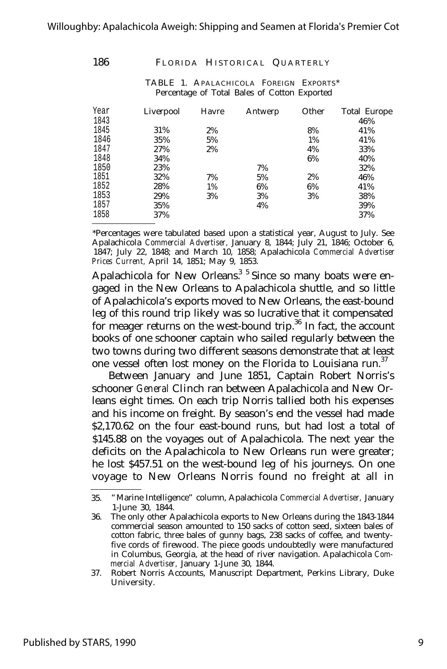TABLE 1. APALACHICOLA FOREIGN EXPORTS\* Percentage of Total Bales of Cotton Exported

| Year<br>1843 | Liverpool | Havre | Antwerp | Other | Total Europe<br>46% |
|--------------|-----------|-------|---------|-------|---------------------|
| 1845         | 31%       | 2%    |         | 8%    | 41%                 |
| 1846         | 35%       | 5%    |         | 1%    | 41%                 |
| 1847         | 27%       | 2%    |         | 4%    | 33%                 |
| 1848         | 34%       |       |         | 6%    | 40%                 |
| 1850         | 23%       |       | 7%      |       | 32%                 |
| 1851         | 32%       | 7%    | 5%      | 2%    | 46%                 |
| 1852         | 28%       | 1%    | 6%      | 6%    | 41%                 |
| 1853         | 29%       | 3%    | 3%      | 3%    | 38%                 |
| 1857         | 35%       |       | 4%      |       | 39%                 |
| 1858         | 37%       |       |         |       | 37%                 |

\*Percentages were tabulated based upon a statistical year, August to July. See Apalachicola *Commercial Advertiser,* January 8, 1844; July 21, 1846; October 6, 1847; July 22, 1848; and March 10, 1858; Apalachicola *Commercial Advertiser Prices Current,* April 14, 1851; May 9, 1853.

Apalachicola for New Orleans.<sup>35</sup> Since so many boats were engaged in the New Orleans to Apalachicola shuttle, and so little of Apalachicola's exports moved to New Orleans, the east-bound leg of this round trip likely was so lucrative that it compensated for meager returns on the west-bound trip. $36$  In fact, the account books of one schooner captain who sailed regularly between the two towns during two different seasons demonstrate that at least one vessel often lost money on the Florida to Louisiana run.<sup>37</sup>

Between January and June 1851, Captain Robert Norris's schooner *General Clinch* ran between Apalachicola and New Orleans eight times. On each trip Norris tallied both his expenses and his income on freight. By season's end the vessel had made \$2,170.62 on the four east-bound runs, but had lost a total of \$145.88 on the voyages out of Apalachicola. The next year the deficits on the Apalachicola to New Orleans run were greater; he lost \$457.51 on the west-bound leg of his journeys. On one voyage to New Orleans Norris found no freight at all in

<sup>35.</sup> "Marine Intelligence" column, Apalachicola *Commercial Advertiser,* January 1-June 30, 1844.

<sup>36.</sup> The only other Apalachicola exports to New Orleans during the 1843-1844 commercial season amounted to 150 sacks of cotton seed, sixteen bales of cotton fabric, three bales of gunny bags, 238 sacks of coffee, and twentyfive cords of firewood. The piece goods undoubtedly were manufactured in Columbus, Georgia, at the head of river navigation. Apalachicola *Commercial Advertiser,* January 1-June 30, 1844.

<sup>37.</sup> Robert Norris Accounts, Manuscript Department, Perkins Library, Duke University.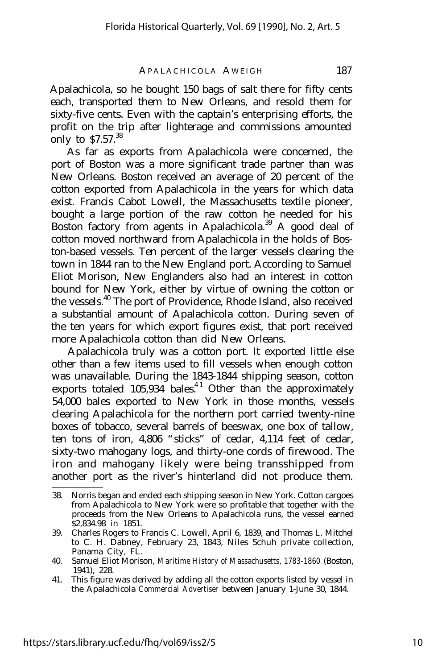Apalachicola, so he bought 150 bags of salt there for fifty cents each, transported them to New Orleans, and resold them for sixty-five cents. Even with the captain's enterprising efforts, the profit on the trip after lighterage and commissions amounted only to  $$7.57<sup>38</sup>$ 

As far as exports from Apalachicola were concerned, the port of Boston was a more significant trade partner than was New Orleans. Boston received an average of 20 percent of the cotton exported from Apalachicola in the years for which data exist. Francis Cabot Lowell, the Massachusetts textile pioneer, bought a large portion of the raw cotton he needed for his Boston factory from agents in Apalachicola.<sup>39</sup> A good deal of cotton moved northward from Apalachicola in the holds of Boston-based vessels. Ten percent of the larger vessels clearing the town in 1844 ran to the New England port. According to Samuel Eliot Morison, New Englanders also had an interest in cotton bound for New York, either by virtue of owning the cotton or the vessels.<sup>40</sup> The port of Providence, Rhode Island, also received a substantial amount of Apalachicola cotton. During seven of the ten years for which export figures exist, that port received more Apalachicola cotton than did New Orleans.

Apalachicola truly was a cotton port. It exported little else other than a few items used to fill vessels when enough cotton was unavailable. During the 1843-1844 shipping season, cotton exports totaled  $105.934$  bales.<sup>41</sup> Other than the approximately 54,000 bales exported to New York in those months, vessels clearing Apalachicola for the northern port carried twenty-nine boxes of tobacco, several barrels of beeswax, one box of tallow, ten tons of iron, 4,806 "sticks" of cedar, 4,114 feet of cedar, sixty-two mahogany logs, and thirty-one cords of firewood. The iron and mahogany likely were being transshipped from another port as the river's hinterland did not produce them.

<sup>38.</sup> Norris began and ended each shipping season in New York. Cotton cargoes from Apalachicola to New York were so profitable that together with the proceeds from the New Orleans to Apalachicola runs, the vessel earned \$2,834.98 in 1851.

<sup>39.</sup> Charles Rogers to Francis C. Lowell, April 6, 1839, and Thomas L. Mitchel to C. H. Dabney, February 23, 1843, Niles Schuh private collection, Panama City, FL.

<sup>40.</sup> Samuel Eliot Morison, *Maritime History of Massachusetts, 1783-1860* (Boston, 1941), 228.

<sup>41.</sup> This figure was derived by adding all the cotton exports listed by vessel in the Apalachicola *Commercial Advertiser* between January 1-June 30, 1844.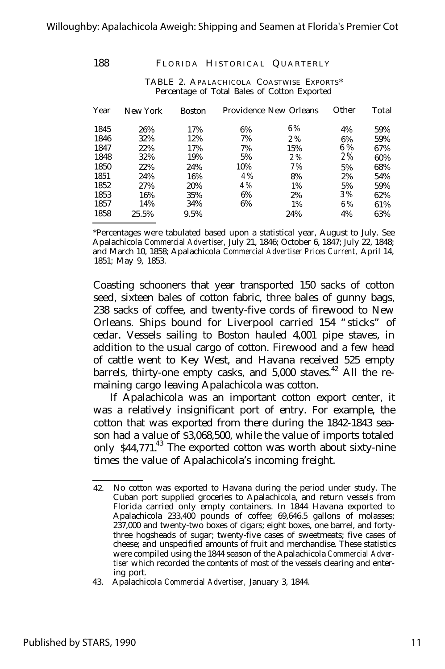TABLE 2. APALACHICOLA COASTWISE EXPORTS \* Percentage of Total Bales of Cotton Exported

| Year<br>New York |       | Boston | Providence New Orleans |       | Other | Total |
|------------------|-------|--------|------------------------|-------|-------|-------|
| 1845             | 26%   | 17%    | 6%                     | 6%    | 4%    | 59%   |
| 1846             | 32%   | 12%    | 7%                     | 2%    | 6%    | 59%   |
| 1847             | 22%   | 17%    | 7%                     | 15%   | 6 %   | 67%   |
| 1848             | 32%   | 19%    | 5%                     | 2%    | 2 %   | 60%   |
| 1850             | 22%   | 24%    | 10%                    | 7%    | 5%    | 68%   |
| 1851             | 24%   | 16%    | 4 %                    | 8%    | 2%    | 54%   |
| 1852             | 27%   | 20%    | 4 %                    | $1\%$ | 5%    | 59%   |
| 1853             | 16%   | 35%    | 6%                     | 2%    | 3 %   | 62%   |
| 1857             | 14%   | 34%    | 6%                     | 1%    | 6%    | 61%   |
| 1858             | 25.5% | 9.5%   |                        | 24%   | 4%    | 63%   |

\*Percentages were tabulated based upon a statistical year, August to July. See Apalachicola *Commercial Advertiser,* July 21, 1846; October 6, 1847; July 22, 1848; and March 10, 1858; Apalachicola *Commercial Advertiser Prices Current,* April 14, 1851; May 9, 1853.

Coasting schooners that year transported 150 sacks of cotton seed, sixteen bales of cotton fabric, three bales of gunny bags, 238 sacks of coffee, and twenty-five cords of firewood to New Orleans. Ships bound for Liverpool carried 154 "sticks" of cedar. Vessels sailing to Boston hauled 4,001 pipe staves, in addition to the usual cargo of cotton. Firewood and a few head of cattle went to Key West, and Havana received 525 empty barrels, thirty-one empty casks, and 5,000 staves.<sup>42</sup> All the remaining cargo leaving Apalachicola was cotton.

If Apalachicola was an important cotton export center, it was a relatively insignificant port of entry. For example, the cotton that was exported from there during the 1842-1843 season had a value of \$3,068,500, while the value of imports totaled only \$44,771.<sup>43</sup> The exported cotton was worth about sixty-nine times the value of Apalachicola's incoming freight.

<sup>42.</sup> No cotton was exported to Havana during the period under study. The Cuban port supplied groceries to Apalachicola, and return vessels from Florida carried only empty containers. In 1844 Havana exported to Apalachicola 233,400 pounds of coffee; 69,646.5 gallons of molasses; 237,000 and twenty-two boxes of cigars; eight boxes, one barrel, and fortythree hogsheads of sugar; twenty-five cases of sweetmeats; five cases of cheese; and unspecified amounts of fruit and merchandise. These statistics were compiled using the 1844 season of the Apalachicola *Commercial Advertiser* which recorded the contents of most of the vessels clearing and entering port.

<sup>43.</sup> Apalachicola *Commercial Advertiser,* January 3, 1844.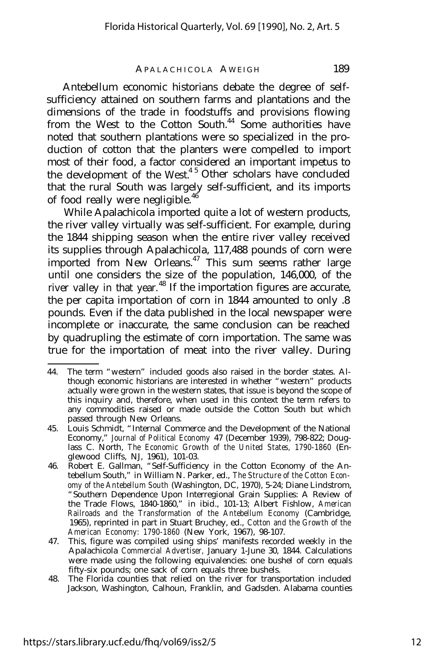Antebellum economic historians debate the degree of selfsufficiency attained on southern farms and plantations and the dimensions of the trade in foodstuffs and provisions flowing from the West to the Cotton South.<sup>44</sup> Some authorities have noted that southern plantations were so specialized in the production of cotton that the planters were compelled to import most of their food, a factor considered an important impetus to the development of the West. $4^5$  Other scholars have concluded that the rural South was largely self-sufficient, and its imports of food really were negligible.<sup>46</sup>

While Apalachicola imported quite a lot of western products, the river valley virtually was self-sufficient. For example, during the 1844 shipping season when the entire river valley received its supplies through Apalachicola, 117,488 pounds of corn were imported from New Orleans.<sup>47</sup> This sum seems rather large until one considers the size of the population, 146,000, of the river valley in that year. $48$  If the importation figures are accurate, the per capita importation of corn in 1844 amounted to only .8 pounds. Even if the data published in the local newspaper were incomplete or inaccurate, the same conclusion can be reached by quadrupling the estimate of corn importation. The same was true for the importation of meat into the river valley. During

<sup>44.</sup> The term "western" included goods also raised in the border states. Although economic historians are interested in whether "western" products actually were grown in the western states, that issue is beyond the scope of this inquiry and, therefore, when used in this context the term refers to any commodities raised or made outside the Cotton South but which passed through New Orleans.

<sup>45.</sup> Louis Schmidt, "Internal Commerce and the Development of the National Economy," *Journal of Political Economy* 47 (December 1939), 798-822; Douglass C. North, *The Economic Growth of the United States, 1790-1860* (Englewood Cliffs, NJ, 1961), 101-03.

<sup>46.</sup> Robert E. Gallman, "Self-Sufficiency in the Cotton Economy of the Antebellum South," in William N. Parker, ed., *The Structure of the Cotton Economy of the Antebellum South* (Washington, DC, 1970), 5-24; Diane Lindstrom, "Southern Dependence Upon Interregional Grain Supplies: A Review of the Trade Flows, 1840-1860," in ibid., 101-13; Albert Fishlow, *American Railroads and the Transformation of the Antebellum Economy* (Cambridge, 1965), reprinted in part in Stuart Bruchey, ed., *Cotton and the Growth of the American Economy: 1790-1860* (New York, 1967), 98-107.

<sup>47.</sup> This, figure was compiled using ships' manifests recorded weekly in the Apalachicola *Commercial Advertiser,* January 1-June 30, 1844. Calculations were made using the following equivalencies: one bushel of corn equals fifty-six pounds; one sack of corn equals three bushels.

<sup>48.</sup> The Florida counties that relied on the river for transportation included Jackson, Washington, Calhoun, Franklin, and Gadsden. Alabama counties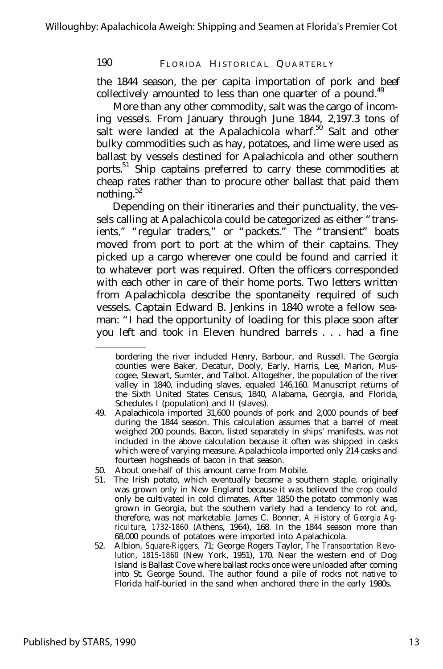the 1844 season, the per capita importation of pork and beef collectively amounted to less than one quarter of a pound.<sup>49</sup>

More than any other commodity, salt was the cargo of incoming vessels. From January through June 1844, 2,197.3 tons of salt were landed at the Apalachicola wharf.<sup>50</sup> Salt and other bulky commodities such as hay, potatoes, and lime were used as ballast by vessels destined for Apalachicola and other southern ports.<sup>51</sup> Ship captains preferred to carry these commodities at cheap rates rather than to procure other ballast that paid them nothing. $52$ 

Depending on their itineraries and their punctuality, the vessels calling at Apalachicola could be categorized as either "transients," "regular traders," or "packets." The "transient" boats moved from port to port at the whim of their captains. They picked up a cargo wherever one could be found and carried it to whatever port was required. Often the officers corresponded with each other in care of their home ports. Two letters written from Apalachicola describe the spontaneity required of such vessels. Captain Edward B. Jenkins in 1840 wrote a fellow seaman: "I had the opportunity of loading for this place soon after you left and took in Eleven hundred barrels . . . had a fine

- 50. About one-half of this amount came from Mobile.
- 51. The Irish potato, which eventually became a southern staple, originally was grown only in New England because it was believed the crop could only be cultivated in cold climates. After 1850 the potato commonly was grown in Georgia, but the southern variety had a tendency to rot and, therefore, was not marketable. James C. Bonner, *A History of Georgia Agriculture, 1732-1860* (Athens, 1964), 168. In the 1844 season more than 68,000 pounds of potatoes were imported into Apalachicola.
- 52. Albion, *Square-Riggers,* 71; George Rogers Taylor, *The Transportation Revolution, 1815-1860* (New York, 1951), 170. Near the western end of Dog Island is Ballast Cove where ballast rocks once were unloaded after coming into St. George Sound. The author found a pile of rocks not native to Florida half-buried in the sand when anchored there in the early 1980s.

bordering the river included Henry, Barbour, and Russell. The Georgia counties were Baker, Decatur, Dooly, Early, Harris, Lee, Marion, Muscogee, Stewart, Sumter, and Talbot. Altogether, the population of the river valley in 1840, including slaves, equaled 146,160. Manuscript returns of the Sixth United States Census, 1840, Alabama, Georgia, and Florida, Schedules I (population) and II (slaves).

<sup>49.</sup> Apalachicola imported 31,600 pounds of pork and 2,000 pounds of beef during the 1844 season. This calculation assumes that a barrel of meat weighed 200 pounds. Bacon, listed separately in ships' manifests, was not included in the above calculation because it often was shipped in casks which were of varying measure. Apalachicola imported only 214 casks and fourteen hogsheads of bacon in that season.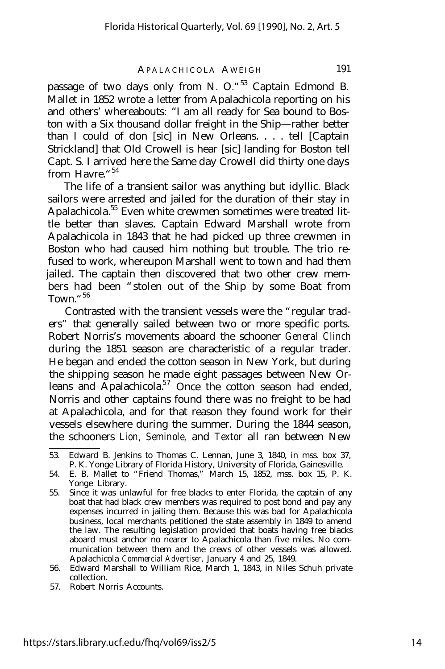passage of two days only from N. O."<sup>53</sup> Captain Edmond B. Mallet in 1852 wrote a letter from Apalachicola reporting on his and others' whereabouts: "I am all ready for Sea bound to Boston with a Six thousand dollar freight in the Ship— rather better than I could of don [sic] in New Orleans. . . . tell [Captain Strickland] that Old Crowell is hear [sic] landing for Boston tell Capt. S. I arrived here the Same day Crowell did thirty one days from Havre  $54$ 

The life of a transient sailor was anything but idyllic. Black sailors were arrested and jailed for the duration of their stay in Apalachicola.<sup>55</sup> Even white crewmen sometimes were treated little better than slaves. Captain Edward Marshall wrote from Apalachicola in 1843 that he had picked up three crewmen in Boston who had caused him nothing but trouble. The trio refused to work, whereupon Marshall went to town and had them jailed. The captain then discovered that two other crew members had been "stolen out of the Ship by some Boat from Town<sup>"56</sup>

Contrasted with the transient vessels were the "regular traders" that generally sailed between two or more specific ports. Robert Norris's movements aboard the schooner *General Clinch* during the 1851 season are characteristic of a regular trader. He began and ended the cotton season in New York, but during the shipping season he made eight passages between New Orleans and Apalachicola.<sup>57</sup> Once the cotton season had ended, Norris and other captains found there was no freight to be had at Apalachicola, and for that reason they found work for their vessels elsewhere during the summer. During the 1844 season, the schooners *Lion, Seminole,* and *Textor* all ran between New

57. Robert Norris Accounts.

<sup>53.</sup> Edward B. Jenkins to Thomas C. Lennan, June 3, 1840, in mss. box 37, P. K. Yonge Library of Florida History, University of Florida, Gainesville.

<sup>54.</sup> E. B. Mallet to "Friend Thomas," March 15, 1852, mss. box 15, P. K. Yonge Library.

<sup>55.</sup> Since it was unlawful for free blacks to enter Florida, the captain of any boat that had black crew members was required to post bond and pay any expenses incurred in jailing them. Because this was bad for Apalachicola business, local merchants petitioned the state assembly in 1849 to amend the law. The resulting legislation provided that boats having free blacks aboard must anchor no nearer to Apalachicola than five miles. No communication between them and the crews of other vessels was allowed. Apalachicola *Commercial Advertiser,* January 4 and 25, 1849.

<sup>56.</sup> Edward Marshall to William Rice, March 1, 1843, in Niles Schuh private collection.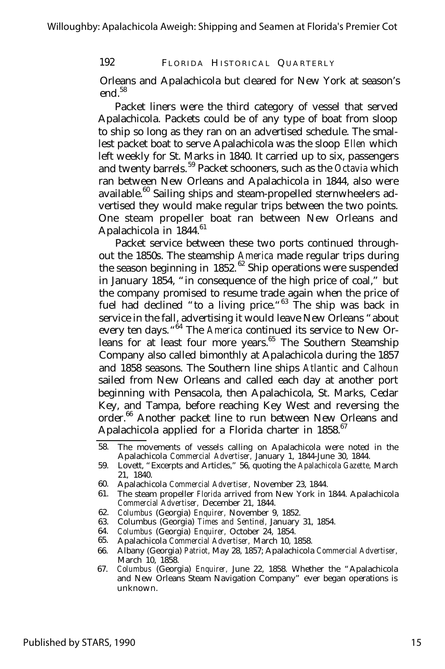Orleans and Apalachicola but cleared for New York at season's  $end$ <sup>58</sup>

Packet liners were the third category of vessel that served Apalachicola. Packets could be of any type of boat from sloop to ship so long as they ran on an advertised schedule. The smallest packet boat to serve Apalachicola was the sloop *Ellen* which left weekly for St. Marks in 1840. It carried up to six, passengers and twenty barrels.<sup>59</sup> Packet schooners, such as the *Octavia* which ran between New Orleans and Apalachicola in 1844, also were available.<sup>60</sup> Sailing ships and steam-propelled sternwheelers advertised they would make regular trips between the two points. One steam propeller boat ran between New Orleans and Apalachicola in 1844.<sup>61</sup>

Packet service between these two ports continued throughout the 1850s. The steamship *America* made regular trips during the season beginning in  $1852$ .  $62$  Ship operations were suspended in January 1854, "in consequence of the high price of coal," but the company promised to resume trade again when the price of fuel had declined "to a living price."<sup>63</sup> The ship was back in service in the fall, advertising it would leave New Orleans "about every ten days." <sup>64</sup> The *America* continued its service to New Orleans for at least four more years.<sup>65</sup> The Southern Steamship Company also called bimonthly at Apalachicola during the 1857 and 1858 seasons. The Southern line ships *Atlantic* and *Calhoun* sailed from New Orleans and called each day at another port beginning with Pensacola, then Apalachicola, St. Marks, Cedar Key, and Tampa, before reaching Key West and reversing the order.<sup>66</sup> Another packet line to run between New Orleans and Apalachicola applied for a Florida charter in  $1858$ .<sup>67</sup>

- 62. *Columbus* (Georgia) *Enquirer,* November 9, 1852.
- 63. Columbus (Georgia) *Times and Sentinel,* January 31, 1854.
- 64. *Columbus* (Georgia) *Enquirer,* October 24, 1854.
- 65. Apalachicola *Commercial Advertiser,* March 10, 1858.
- 66. Albany (Georgia) *Patriot,* May 28, 1857; Apalachicola *Commercial Advertiser,* March 10, 1858.

<sup>58.</sup> The movements of vessels calling on Apalachicola were noted in the Apalachicola *Commercial Advertiser,* January 1, 1844-June 30, 1844.

<sup>59.</sup> Lovett, "Excerpts and Articles," 56, quoting the *Apalachicola Gazette,* March 21, 1840.

<sup>60.</sup> Apalachicola *Commercial Advertiser,* November 23, 1844.

<sup>61.</sup> The steam propeller *Florida* arrived from New York in 1844. Apalachicola *Commercial Advertiser,* December 21, 1844.

<sup>67.</sup> *Columbus* (Georgia) *Enquirer,* June 22, 1858. Whether the "Apalachicola and New Orleans Steam Navigation Company" ever began operations is unknown.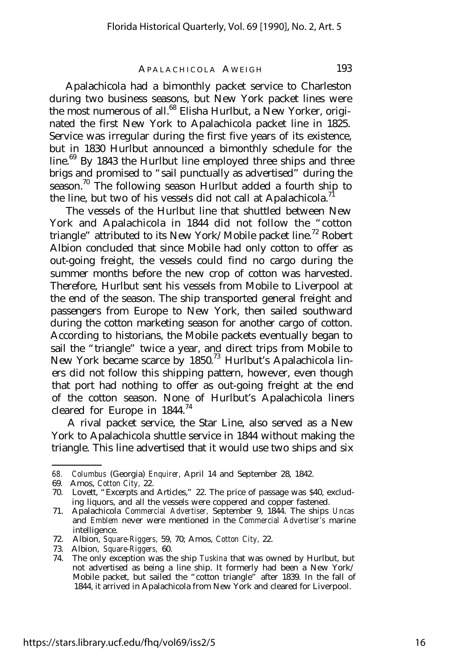Apalachicola had a bimonthly packet service to Charleston during two business seasons, but New York packet lines were the most numerous of all.<sup>68</sup> Elisha Hurlbut, a New Yorker, originated the first New York to Apalachicola packet line in 1825. Service was irregular during the first five years of its existence, but in 1830 Hurlbut announced a bimonthly schedule for the line.<sup>69</sup> By 1843 the Hurlbut line employed three ships and three brigs and promised to "sail punctually as advertised" during the season.<sup>70</sup> The following season Hurlbut added a fourth ship to the line, but two of his vessels did not call at Apalachicola.<sup>71</sup>

The vessels of the Hurlbut line that shuttled between New York and Apalachicola in 1844 did not follow the "cotton triangle" attributed to its New York/Mobile packet line.<sup>72</sup> Robert Albion concluded that since Mobile had only cotton to offer as out-going freight, the vessels could find no cargo during the summer months before the new crop of cotton was harvested. Therefore, Hurlbut sent his vessels from Mobile to Liverpool at the end of the season. The ship transported general freight and passengers from Europe to New York, then sailed southward during the cotton marketing season for another cargo of cotton. According to historians, the Mobile packets eventually began to sail the "triangle" twice a year, and direct trips from Mobile to New York became scarce by 1850.<sup>73</sup> Hurlbut's Apalachicola liners did not follow this shipping pattern, however, even though that port had nothing to offer as out-going freight at the end of the cotton season. None of Hurlbut's Apalachicola liners cleared for Europe in 1844.<sup>74</sup>

A rival packet service, the Star Line, also served as a New York to Apalachicola shuttle service in 1844 without making the triangle. This line advertised that it would use two ships and six

*<sup>68.</sup> Columbus* (Georgia) *Enquirer,* April 14 and September 28, 1842.

<sup>69.</sup> Amos, *Cotton City,* 22.

<sup>70.</sup> Lovett, "Excerpts and Articles," 22. The price of passage was \$40, excluding liquors, and all the vessels were coppered and copper fastened.

<sup>71.</sup> Apalachicola *Commercial Advertiser,* September 9, 1844. The ships *Uncas* and *Emblem* never were mentioned in the *Commercial Advertiser's* marine intelligence.

<sup>72.</sup> Albion, *Square-Riggers,* 59, 70; Amos, *Cotton City,* 22.

<sup>73.</sup> Albion, *Square-Riggers,* 60.

<sup>74.</sup> The only exception was the ship *Tuskina* that was owned by Hurlbut, but not advertised as being a line ship. It formerly had been a New York/ Mobile packet, but sailed the "cotton triangle" after 1839. In the fall of 1844, it arrived in Apalachicola from New York and cleared for Liverpool.